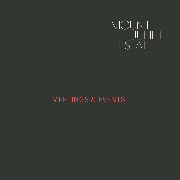

# MEETINGS & EVENTS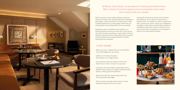We're honoured to have hosted milestone events for clients of all sizes. From intimate boardroom meetings to grand galas, product launches to private dinners, teambuilding experiences to cutting-edge conferences, we bring panache and professionalism to every occasion.

Drawing on years of excellence and expertise, our tailored approach means your event will run just as you wish. We'll provide everything you need: state-of-the-art facilities, beautiful venues, impeccable service, a wealth of menu choices and unrivalled attention to detail. Nothing will be overlooked.

Located 90 minutes from Dublin and 20 minutes from Kilkenny, we are ready to help you plan a flawless event. So, whether you want to reward your team, impress your clients, inspire your delegates or strategise in style, Mount Juliet Estate promises an exceptional experience. Entrust us with your next event and sit back, knowing you're in the safest of hands in the most special of places.





# At Mount Juliet Estate, we are experts in hosting memorable events. With a choice of luxurious spaces and an exceptional events team, we're ready to help you impress.

# 7 EVENT ROOMS

Select one of our 7 spaces that can accommodate up to 240 delegates for your event.

6,565 sq ft of total event space 240 capacity of our largest space

Our exceptional team will assist you with every detail of your event to ensure it is a success.

Experience the best of Mount Juliet Estate with a schedule that includes our range of estate activities: falconry, fishing, golf and equestrian.

Benefit from Marriott reward loyalty plans and their associated advantages

Allow our award-winning culinary team to create bespoke dining options for your event.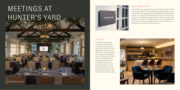# MEETINGS AT HUNTER'S YARD

# MCCALMONT SUITE

A truly impressive space, the luxurious McCalmont Suite will add cachet to any event. With high ceilings, exposed wooden beams, natural light and sweeping views over Mount Juliet Estate's golf course, it is a beautifully designed suite and the perfect choice for your next conference, product launch, banquet or gala event. Capable of hosting up to 240 guests, the suite is equipped with the most up-to-date technology. Stylish and comfortable, the McCalmont Suite will set your event apart.





THE LOFT

Atmospheric and elegant, The Loft in Hunter's Yard is a stylish, self-contained event space that's ideal for a reception or intimate event. With its own private entrance, you can welcome delegates, serve refreshments and avail of your own Nespresso bar. Versatile and flooded with natural light, The Loft is suitable for private events and presentations, or as a comfortable break-out room for The Red Park Suite, Jinks Suite and Jack Nicklaus Suite.

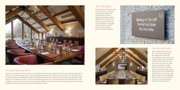## THE JINKS SUITE

Looking out onto Hunter's Yard, the Jinks Suite is a striking contemporary space with wooden beams, feature lighting and blackout blinds. Spacious and versatile, this stylish room can be laid out for presentations, meetings, team building or intimate private dining, holding between 35 and 82 guests.





Meetings At The Loft The Red Park Suite The Jinks Suite

### THE RED PARK SUITE

Make a statement by hosting your next off-site meeting in the elegant Red Park Suite. A contemporary room with smart wooden beams and a sloped loft ceiling, it's an impressive open plan venue for your next event. Ideal for meetings, The Red Park Suite is also the perfect choice for private dining, music, performances and entertainment. Comfortable and luxurious, with state-of-the-art technology and blackout blinds, the stylish Red Park Suite can accommodate between 35 and 82 guests.



# THE JACK NICKLAUS SUITE

There are boardrooms, and then there's our Jack Nicklaus boardroom. Designed with the same care and attention to detail as our eponymous golf course, the Jack Nicklaus Boardroom sits atop the arch into Hunter's Yard, with floorto-ceiling windows overlooking the estate. A bespoke boardroom with a feature wooden table and atmospheric loft beams, this contemporary room is a smart and welcoming venue for C Suite and director-level meetings of up to 16 delegates. Executive chairs, natural windows, blackout blinds and state-of-the-art technology ensure this impressive boardroom allows you to stay focused on the business at hand.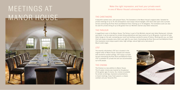## THE CARETAKERS

A beautiful vaulted room, with parquet floors, The Caretakers is the Manor House's original cellar. Suitable for private meetings of up to 70, this atmospheric room enjoys natural daylight, with doors that open onto a private terrace overlooking the River Nore and Ballylinch Stud. Hosting up to 70 delegates, The Caretakers suite can also be used for private dining of up to 60 guests from our Michelin-starred Lady Helen restaurant.

# THE PARLOUR

A magnificent room in the Manor House, The Parlour is part of the Michelin-starred Lady Helen Restaurant. Intimate and lavish, it can be reserved for private dining celebrations and team events of up to 36 guests. A portrait of Lady Helen hangs on the wall, overseeing your event and lending a wonderful sense of history. Working with you, our Head Chef will create a bespoke menu that's just right for your event. Overlooking the River Nore and lush Ballylinch Stud, this impressive room enjoys superb views, high ceilings, natural light and a real sense of Mount Juliet magic.

# 1757

The recently refurbished, 1757 bar is located in the original cellar of Manor House. Intimate and relaxed, with wonderful vaulted ceilings, 1757 enjoys a private terrace overlooking the River Nore and Ballylinch Stud. 1757 is available for private hire and can accommodate up to 80 people.

# THE CINEMA

The Cinema is a new addition to Manor House. The 12-seater cinema was inspired by the glamour of the golden age of cinema. Our cinema is available for private screenings, impressive presentations, or board meetings. Enjoy fresh popcorn, a classic cocktail, and your favourite film.



# MEETINGS AT MANOR HOUSE

Make the right impression, and host your private event in one of Manor House's atmospheric and intimate rooms.

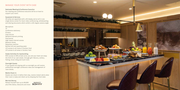# MANAGE YOUR EVENT WITH EASE

#### Dedicated Meeting & Conference Executive

Our meeting and conference executive will be on hand to support your event.

#### Equipment & Serivces

All suites are appointed with a 4K display and an all-in-one single device screen for Zoom video conferencing, whiteboarding and sharing documents which exhibit a 120-degree camera angle.

Microphone TV Conference stationery Printers Copy service Network/Internet printing Post/parcel High-speed Internet access Blackout blinds Nespresso machine Bottled still and sparkling water Lift access to all rooms in Hunters Yard Lift access to all areas in Hunters Yard.

### Estate Activities for teambuilding

With access to 500 private acres, you and your team can enjoy the thrill of our vast estate, through golf, falconry, archery, fishing, horse riding and much more.

#### Overnight Guests

If your guests are staying with us overnight you will receive preferential overnight conference rates and management of room blocks.

#### Mobile Check-In

Guests can check-in before their stay, receive instant alerts when their room is ready and check out by skipping the front desk.

#### Marriott Bonvoy

Reward Yourself Earn up to 60,000 plus Elite status, discounts and more.



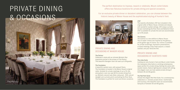The perfect destination to impress, reward or celebrate, Mount Juliet Estate offers two fabulous locations for private dining and special occasions.

For an exclusive private dinner or decadent celebration, you can choose between the historic beauty of Manor House and the sophisticated styling of Hunter's Yard.



# PRIVATE DINING & OCCASIONS

# PRIVATE DINING AND OCCASIONS AT MANOR HOUSE

#### The Parlour

Celebrate in style with an intimate Michelin Star experience served in the privacy of The Parlour. This beautiful Georgian room can seat up to 36 guests.

### The Caretakers

A beautiful vaulted room, with parquet floors, The Caretakers is located in the Manor House's original cellar. Suitable for private meetings of up to 70, this atmospheric room can seat 60 for private dining from our Michelin-starred Lady Helen restaurant. With natural daylight and a private porch overlooking the River Nore, The Caretakers is perfect for lunch and dinner occasions.

#### 1757

The recently refurbished, 1757 bar is located in the original cellar of Manor House. Intimate and relaxed, with wonderful vaulted ceilings, 1757 enjoys a private terrace overlooking the River Nore and Ballylinch Stud. 1757 is available for private hire and can accommodate up to 80 people.

#### The Cinema

The Cinema is a new addition to Manor House. The 12-seater cinema was inspired by the glamour of the golden age of cinema. Our cinema is available for private screenings, impressive presentations, or board meetings. Enjoy fresh popcorn, a classic cocktail, and your favourite film.

# PRIVATE DINING AND OCCASIONS AT HUNTER'S YARD

#### The Jinks Suite

Looking out onto Hunter's Yard and Mount Juliet Estate, the impressive Jinks Suite is a striking contemporary space perfect for private dining. Setting the scene with wooden beams, feature lighting and a sloped loft ceiling, this elegant room can host seated private dining of between 35 and 60 guests.

#### The Red Park Suite

Choose the elegant Red Park Suite, for a contemporary celebration or intimate private dinner. Comfortable and luxurious, this beautiful room can accommodate banquets of between 35 and 60 guests.

The Parlour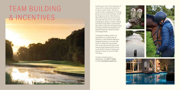Immerse your team in the pleasures of nature with a memorable experience at Mount Juliet Estate. Take them outdoors with a programme of exciting group activities that challenge, reward and forge new bonds. With access to 500 private acres, you and your team can enjoy the thrill of our vast estate, through golf, falconry, archery, fishing and horse riding. Mount Juliet Estate also offers a selection of bespoke team building activities coordinated by our approved partners, Dynamic Events and Orange Works.

To play golf at Mount Juliet is to experience up to 7,200 yards of visionary, a Jack Nicklaus Signature Designed Parkland, set across 180 acres of rolling Irish countryside. The course has recently been voted Ireland's Best Parkland Golf Course, by the Golfer's Guide to Ireland and has been chosen to host the 2022 Irish Open.

To book a private event or celebration, call 056 777 3000 or email events@mountjuliet.ie













# TEAM BUILDING & INCENTIVES